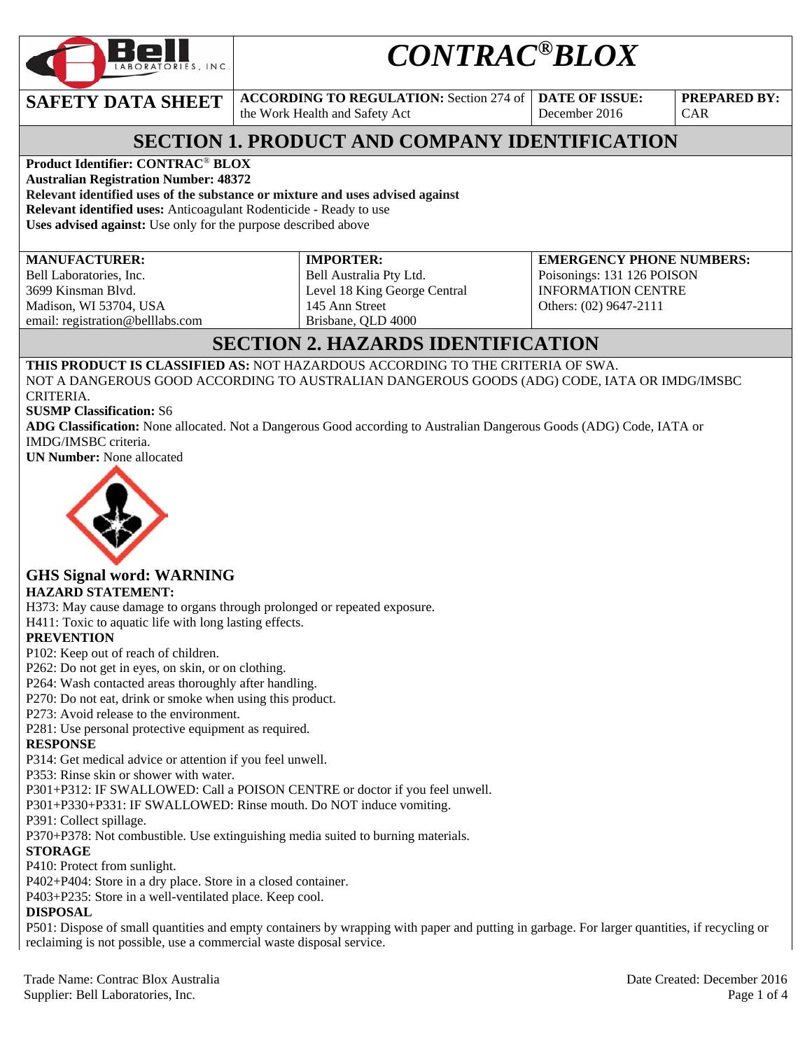

# *CONTRAC®BLOX*

**SAFETY DATA SHEET ACCORDING TO REGULATION:** Section 274 of

the Work Health and Safety Act

**DATE OF ISSUE:**  December 2016

**PREPARED BY:**  CAR

# **SECTION 1. PRODUCT AND COMPANY IDENTIFICATION**

**Product Identifier: CONTRAC**® **BLOX** 

**Australian Registration Number: 48372 Relevant identified uses of the substance or mixture and uses advised against Relevant identified uses:** Anticoagulant Rodenticide - Ready to use **Uses advised against:** Use only for the purpose described above

**MANUFACTURER:** 

Bell Laboratories, Inc. 3699 Kinsman Blvd. Madison, WI 53704, USA email: registration@belllabs.com **IMPORTER:**  Bell Australia Pty Ltd. Level 18 King George Central 145 Ann Street Brisbane, QLD 4000

**EMERGENCY PHONE NUMBERS:**  Poisonings: 131 126 POISON INFORMATION CENTRE Others: (02) 9647-2111

# **SECTION 2. HAZARDS IDENTIFICATION**

**THIS PRODUCT IS CLASSIFIED AS:** NOT HAZARDOUS ACCORDING TO THE CRITERIA OF SWA. NOT A DANGEROUS GOOD ACCORDING TO AUSTRALIAN DANGEROUS GOODS (ADG) CODE, IATA OR IMDG/IMSBC CRITERIA.

**SUSMP Classification:** S6

**ADG Classification:** None allocated. Not a Dangerous Good according to Australian Dangerous Goods (ADG) Code, IATA or IMDG/IMSBC criteria.

**UN Number:** None allocated



#### **GHS Signal word: WARNING HAZARD STATEMENT:**

H373: May cause damage to organs through prolonged or repeated exposure.

H411: Toxic to aquatic life with long lasting effects.

#### **PREVENTION**

P102: Keep out of reach of children.

P262: Do not get in eyes, on skin, or on clothing.

P264: Wash contacted areas thoroughly after handling.

P270: Do not eat, drink or smoke when using this product.

P273: Avoid release to the environment.

P281: Use personal protective equipment as required.

#### **RESPONSE**

P314: Get medical advice or attention if you feel unwell.

P353: Rinse skin or shower with water.

P301+P312: IF SWALLOWED: Call a POISON CENTRE or doctor if you feel unwell.

P301+P330+P331: IF SWALLOWED: Rinse mouth. Do NOT induce vomiting.

P391: Collect spillage.

P370+P378: Not combustible. Use extinguishing media suited to burning materials.

### **STORAGE**

P410: Protect from sunlight.

P402+P404: Store in a dry place. Store in a closed container.

P403+P235: Store in a well-ventilated place. Keep cool.

### **DISPOSAL**

P501: Dispose of small quantities and empty containers by wrapping with paper and putting in garbage. For larger quantities, if recycling or reclaiming is not possible, use a commercial waste disposal service.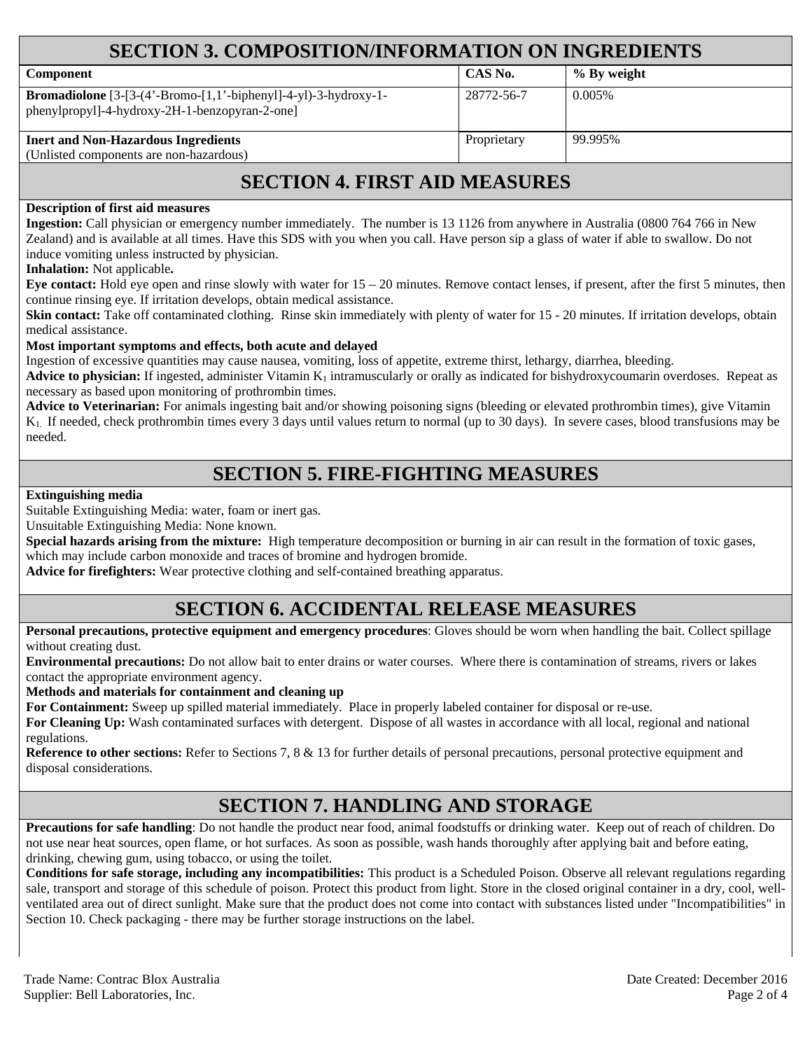| <b>SECTION 3. COMPOSITION/INFORMATION ON INGREDIENTS</b>                                                                |             |             |  |
|-------------------------------------------------------------------------------------------------------------------------|-------------|-------------|--|
| <b>Component</b>                                                                                                        | CAS No.     | % By weight |  |
| <b>Bromadiolone</b> $[3-(4'-Bromo-[1,1'-biphenyl]-4-yl)-3-hydroxy-1-$<br>phenylpropyl]-4-hydroxy-2H-1-benzopyran-2-one] | 28772-56-7  | 0.005\%     |  |
| <b>Inert and Non-Hazardous Ingredients</b><br>(Unlisted components are non-hazardous)                                   | Proprietary | 99.995%     |  |

# **SECTION 4. FIRST AID MEASURES**

#### **Description of first aid measures**

**Ingestion:** Call physician or emergency number immediately. The number is 13 1126 from anywhere in Australia (0800 764 766 in New Zealand) and is available at all times. Have this SDS with you when you call. Have person sip a glass of water if able to swallow. Do not induce vomiting unless instructed by physician.

#### **Inhalation:** Not applicable**.**

**Eye contact:** Hold eye open and rinse slowly with water for 15 – 20 minutes. Remove contact lenses, if present, after the first 5 minutes, then continue rinsing eye. If irritation develops, obtain medical assistance.

**Skin contact:** Take off contaminated clothing. Rinse skin immediately with plenty of water for 15 - 20 minutes. If irritation develops, obtain medical assistance.

#### **Most important symptoms and effects, both acute and delayed**

Ingestion of excessive quantities may cause nausea, vomiting, loss of appetite, extreme thirst, lethargy, diarrhea, bleeding.

**Advice to physician:** If ingested, administer Vitamin  $K_1$  intramuscularly or orally as indicated for bishydroxycoumarin overdoses. Repeat as necessary as based upon monitoring of prothrombin times.

Advice to Veterinarian: For animals ingesting bait and/or showing poisoning signs (bleeding or elevated prothrombin times), give Vitamin K1. If needed, check prothrombin times every 3 days until values return to normal (up to 30 days). In severe cases, blood transfusions may be needed.

### **SECTION 5. FIRE-FIGHTING MEASURES**

#### **Extinguishing media**

Suitable Extinguishing Media: water, foam or inert gas.

Unsuitable Extinguishing Media: None known.

**Special hazards arising from the mixture:** High temperature decomposition or burning in air can result in the formation of toxic gases, which may include carbon monoxide and traces of bromine and hydrogen bromide.

**Advice for firefighters:** Wear protective clothing and self-contained breathing apparatus.

### **SECTION 6. ACCIDENTAL RELEASE MEASURES**

**Personal precautions, protective equipment and emergency procedures**: Gloves should be worn when handling the bait. Collect spillage without creating dust.

**Environmental precautions:** Do not allow bait to enter drains or water courses. Where there is contamination of streams, rivers or lakes contact the appropriate environment agency.

**Methods and materials for containment and cleaning up**

**For Containment:** Sweep up spilled material immediately. Place in properly labeled container for disposal or re-use.

**For Cleaning Up:** Wash contaminated surfaces with detergent. Dispose of all wastes in accordance with all local, regional and national regulations.

**Reference to other sections:** Refer to Sections 7, 8 & 13 for further details of personal precautions, personal protective equipment and disposal considerations.

### **SECTION 7. HANDLING AND STORAGE**

**Precautions for safe handling**: Do not handle the product near food, animal foodstuffs or drinking water. Keep out of reach of children. Do not use near heat sources, open flame, or hot surfaces. As soon as possible, wash hands thoroughly after applying bait and before eating, drinking, chewing gum, using tobacco, or using the toilet.

**Conditions for safe storage, including any incompatibilities:** This product is a Scheduled Poison. Observe all relevant regulations regarding sale, transport and storage of this schedule of poison. Protect this product from light. Store in the closed original container in a dry, cool, wellventilated area out of direct sunlight. Make sure that the product does not come into contact with substances listed under "Incompatibilities" in Section 10. Check packaging - there may be further storage instructions on the label.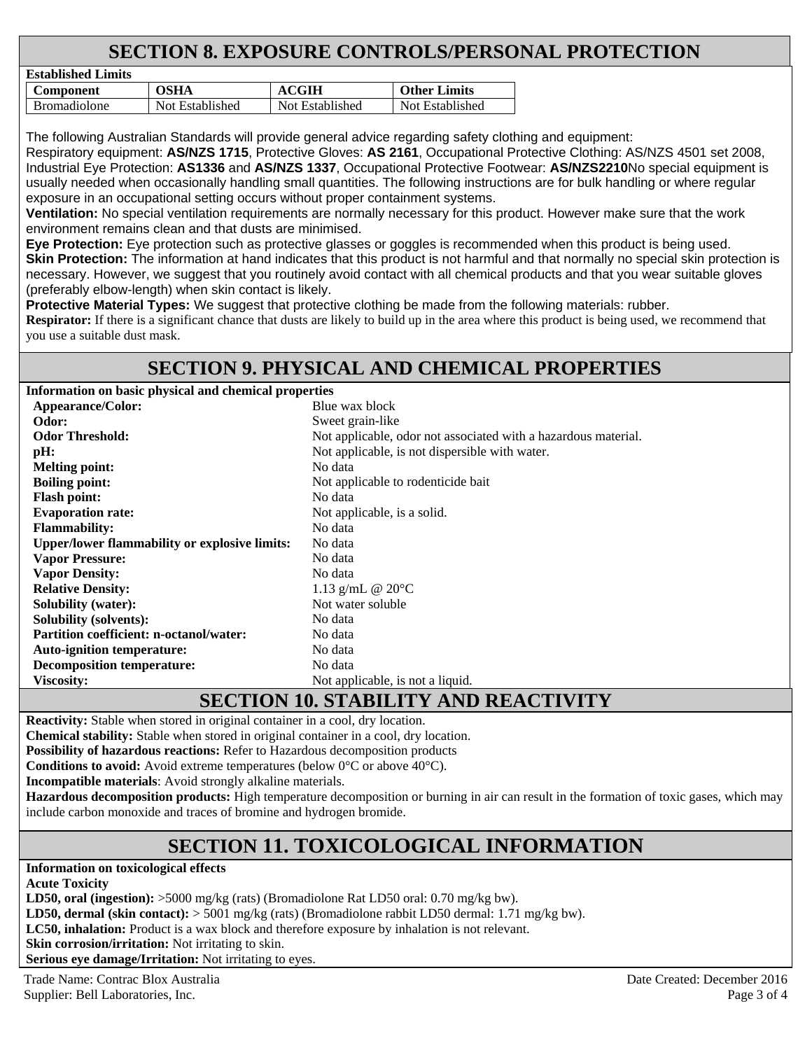# **SECTION 8. EXPOSURE CONTROLS/PERSONAL PROTECTION**

| Established Lillins |                 |                 |                     |
|---------------------|-----------------|-----------------|---------------------|
| Component           | OSHA            | <b>ACGIH</b>    | <b>Other Limits</b> |
| <b>Bromadiolone</b> | Not Established | Not Established | Not Established     |

The following Australian Standards will provide general advice regarding safety clothing and equipment: Respiratory equipment: **AS/NZS 1715**, Protective Gloves: **AS 2161**, Occupational Protective Clothing: AS/NZS 4501 set 2008, Industrial Eye Protection: **AS1336** and **AS/NZS 1337**, Occupational Protective Footwear: **AS/NZS2210**No special equipment is usually needed when occasionally handling small quantities. The following instructions are for bulk handling or where regular exposure in an occupational setting occurs without proper containment systems.

**Ventilation:** No special ventilation requirements are normally necessary for this product. However make sure that the work environment remains clean and that dusts are minimised.

**Eye Protection:** Eye protection such as protective glasses or goggles is recommended when this product is being used. **Skin Protection:** The information at hand indicates that this product is not harmful and that normally no special skin protection is necessary. However, we suggest that you routinely avoid contact with all chemical products and that you wear suitable gloves (preferably elbow-length) when skin contact is likely.

**Protective Material Types:** We suggest that protective clothing be made from the following materials: rubber.

**Respirator:** If there is a significant chance that dusts are likely to build up in the area where this product is being used, we recommend that you use a suitable dust mask.

# **SECTION 9. PHYSICAL AND CHEMICAL PROPERTIES**

**Information on basic physical and chemical properties** 

**Established Limits** 

| <b>Appearance/Color:</b>                             | Blue wax block                                                 |
|------------------------------------------------------|----------------------------------------------------------------|
| Odor:                                                | Sweet grain-like                                               |
| <b>Odor Threshold:</b>                               | Not applicable, odor not associated with a hazardous material. |
| pH:                                                  | Not applicable, is not dispersible with water.                 |
| <b>Melting point:</b>                                | No data                                                        |
| <b>Boiling point:</b>                                | Not applicable to rodenticide bait                             |
| <b>Flash point:</b>                                  | No data                                                        |
| <b>Evaporation rate:</b>                             | Not applicable, is a solid.                                    |
| <b>Flammability:</b>                                 | No data                                                        |
| <b>Upper/lower flammability or explosive limits:</b> | No data                                                        |
| <b>Vapor Pressure:</b>                               | No data                                                        |
| <b>Vapor Density:</b>                                | No data                                                        |
| <b>Relative Density:</b>                             | 1.13 g/mL $@ 20°C$                                             |
| <b>Solubility (water):</b>                           | Not water soluble                                              |
| <b>Solubility (solvents):</b>                        | No data                                                        |
| <b>Partition coefficient: n-octanol/water:</b>       | No data                                                        |
| <b>Auto-ignition temperature:</b>                    | No data                                                        |
| <b>Decomposition temperature:</b>                    | No data                                                        |
| <b>Viscosity:</b>                                    | Not applicable, is not a liquid.                               |
|                                                      |                                                                |

# **SECTION 10. STABILITY AND REACTIVITY**

**Reactivity:** Stable when stored in original container in a cool, dry location.

**Chemical stability:** Stable when stored in original container in a cool, dry location.

**Possibility of hazardous reactions:** Refer to Hazardous decomposition products

**Conditions to avoid:** Avoid extreme temperatures (below 0°C or above 40°C).

**Incompatible materials**: Avoid strongly alkaline materials.

**Hazardous decomposition products:** High temperature decomposition or burning in air can result in the formation of toxic gases, which may include carbon monoxide and traces of bromine and hydrogen bromide.

# **SECTION 11. TOXICOLOGICAL INFORMATION**

**Information on toxicological effects** 

**Acute Toxicity** 

**LD50, oral (ingestion):** >5000 mg/kg (rats) (Bromadiolone Rat LD50 oral: 0.70 mg/kg bw).

**LD50, dermal (skin contact):** > 5001 mg/kg (rats) (Bromadiolone rabbit LD50 dermal: 1.71 mg/kg bw).

**LC50, inhalation:** Product is a wax block and therefore exposure by inhalation is not relevant.

**Skin corrosion/irritation:** Not irritating to skin.

**Serious eye damage/Irritation:** Not irritating to eyes.